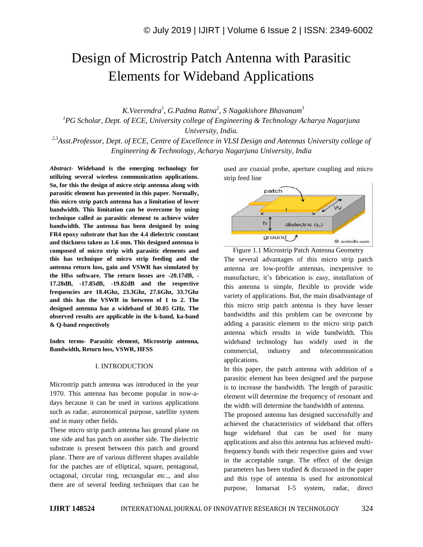# Design of Microstrip Patch Antenna with Parasitic Elements for Wideband Applications

 *K.Veerendra<sup>1</sup> , G.Padma Ratna<sup>2</sup> , S Nagakishore Bhavanam<sup>3</sup> <sup>1</sup>PG Scholar, Dept. of ECE, University college of Engineering & Technology Acharya Nagarjuna University, India.*

*2,3Asst.Professor, Dept. of ECE, Centre of Excellence in VLSI Design and Antennas University college of Engineering & Technology, Acharya Nagarjuna University, India*

*Abstract*- **Wideband is the emerging technology for utilizing several wireless communication applications. So, for this the design of micro strip antenna along with parasitic element has presented in this paper. Normally, this micro strip patch antenna has a limitation of lower bandwidth. This limitation can be overcome by using technique called as parasitic element to achieve wider bandwidth. The antenna has been designed by using FR4 epoxy substrate that has the 4.4 dielectric constant and thickness taken as 1.6 mm. This designed antenna is composed of micro strip with parasitic elements and this has technique of micro strip feeding and the antenna return loss, gain and VSWR has simulated by the Hfss software. The return losses are -20.17dB, - 17.28dB, -17.85dB, -19.82dB and the respective frequencies are 18.4Ghz, 23.3Ghz, 27.6Ghz, 33.7Ghz and this has the VSWR in between of 1 to 2. The designed antenna has a wideband of 30.05 GHz. The observed results are applicable in the k-band, ka-band & Q-band respectively** 

**Index terms- Parasitic element, Microstrip antenna, Bandwidth, Return loss, VSWR, HFSS**

#### I. INTRODUCTION

Microstrip patch antenna was introduced in the year 1970. This antenna has become popular in now-adays because it can be used in various applications such as radar, astronomical purpose, satellite system and in many other fields.

These micro strip patch antenna has ground plane on one side and has patch on another side. The dielectric substrate is present between this patch and ground plane. There are of various different shapes available for the patches are of elliptical, square, pentagonal, octagonal, circular ring, rectangular etc.., and also there are of several feeding techniques that can be

used are coaxial probe, aperture coupling and micro strip feed line



Figure 1.1 Microstrip Patch Antenna Geometry The several advantages of this micro strip patch antenna are low-profile antennas, inexpensive to manufacture, it's fabrication is easy, installation of this antenna is simple, flexible to provide wide variety of applications. But, the main disadvantage of this micro strip patch antenna is they have lesser bandwidths and this problem can be overcome by adding a parasitic element to the micro strip patch antenna which results in wide bandwidth. This wideband technology has widely used in the commercial, industry and telecommunication applications.

In this paper, the patch antenna with addition of a parasitic element has been designed and the purpose is to increase the bandwidth. The length of parasitic element will determine the frequency of resonant and the width will determine the bandwidth of antenna.

The proposed antenna has designed successfully and achieved the characteristics of wideband that offers huge wideband that can be used for many applications and also this antenna has achieved multifrequency bands with their respective gains and vswr in the acceptable range. The effect of the design parameters has been studied & discussed in the paper and this type of antenna is used for astronomical purpose, Inmarsat I-5 system, radar, direct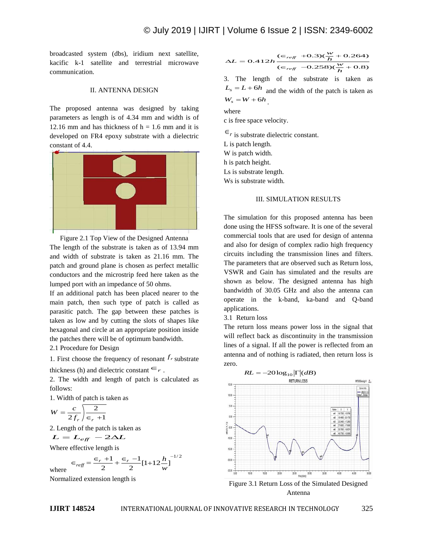broadcasted system (dbs), iridium next satellite, kacific k-1 satellite and terrestrial microwave communication.

#### II. ANTENNA DESIGN

The proposed antenna was designed by taking parameters as length is of 4.34 mm and width is of 12.16 mm and has thickness of  $h = 1.6$  mm and it is developed on FR4 epoxy substrate with a dielectric constant of 4.4.



Figure 2.1 Top View of the Designed Antenna The length of the substrate is taken as of 13.94 mm and width of substrate is taken as 21.16 mm. The patch and ground plane is chosen as perfect metallic conductors and the microstrip feed here taken as the lumped port with an impedance of 50 ohms.

If an additional patch has been placed nearer to the main patch, then such type of patch is called as parasitic patch. The gap between these patches is taken as low and by cutting the slots of shapes like hexagonal and circle at an appropriate position inside the patches there will be of optimum bandwidth.

2.1 Procedure for Design

1. First choose the frequency of resonant  $f_r$  substrate thickness (h) and dielectric constant  $\epsilon_r$ .

2. The width and length of patch is calculated as follows:

1. Width of patch is taken as

$$
W = \frac{c}{2f_r} \sqrt{\frac{2}{\epsilon_r + 1}}
$$

2. Length of the patch is taken as  

$$
L = L_{eff} - 2\Delta L
$$

Where effective length is

$$
\epsilon_{\text{reff}} = \frac{\epsilon_r + 1}{2} + \frac{\epsilon_r - 1}{2} [1 + 12 \frac{h}{w}]^{-1/2}
$$

Normalized extension length is

$$
\Delta L = 0.412h \frac{(\epsilon_{ref} + 0.3)(\frac{w}{h} + 0.264)}{(\epsilon_{ref} - 0.258)(\frac{w}{h} + 0.8)}
$$

3. The length of the substrate is taken as  $L<sub>s</sub> = L + 6h$  and the width of the patch is taken as  $W_s = W + 6h$ .

where

c is free space velocity.

 $\epsilon_r$  is substrate dielectric constant. L is patch length. W is patch width. h is patch height. Ls is substrate length. Ws is substrate width.

#### III. SIMULATION RESULTS

The simulation for this proposed antenna has been done using the HFSS software. It is one of the several commercial tools that are used for design of antenna and also for design of complex radio high frequency circuits including the transmission lines and filters. The parameters that are observed such as Return loss, VSWR and Gain has simulated and the results are shown as below. The designed antenna has high bandwidth of 30.05 GHz and also the antenna can operate in the k-band, ka-band and Q-band applications.

### 3.1 Return loss

The return loss means power loss in the signal that will reflect back as discontinuity in the transmission lines of a signal. If all the power is reflected from an antenna and of nothing is radiated, then return loss is zero.





where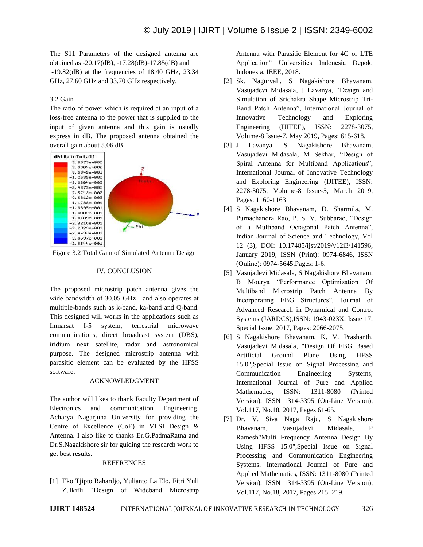The S11 Parameters of the designed antenna are obtained as -20.17(dB), -17.28(dB)-17.85(dB) and  $-19.82$ (dB) at the frequencies of 18.40 GHz, 23.34 GHz, 27.60 GHz and 33.70 GHz respectively.

# 3.2 Gain

The ratio of power which is required at an input of a loss-free antenna to the power that is supplied to the input of given antenna and this gain is usually express in dB. The proposed antenna obtained the overall gain about 5.06 dB.



Figure 3.2 Total Gain of Simulated Antenna Design

# IV. CONCLUSION

The proposed microstrip patch antenna gives the wide bandwidth of 30.05 GHz and also operates at multiple-bands such as k-band, ka-band and Q-band. This designed will works in the applications such as Inmarsat I-5 system, terrestrial microwave communications, direct broadcast system (DBS), iridium next satellite, radar and astronomical purpose. The designed microstrip antenna with parasitic element can be evaluated by the HFSS software.

### ACKNOWLEDGMENT

The author will likes to thank Faculty Department of Electronics and communication Engineering, Acharya Nagarjuna University for providing the Centre of Excellence (CoE) in VLSI Design & Antenna. I also like to thanks Er.G.PadmaRatna and Dr.S.Nagakishore sir for guiding the research work to get best results.

### REFERENCES

[1] Eko Tjipto Rahardjo, Yulianto La Elo, Fitri Yuli Zulkifli "Design of Wideband Microstrip

Antenna with Parasitic Element for 4G or LTE Application" Universities Indonesia Depok, Indonesia. IEEE, 2018.

- [2] Sk. Nagurvali, S Nagakishore Bhavanam, Vasujadevi Midasala, J Lavanya, "Design and Simulation of Srichakra Shape Microstrip Tri-Band Patch Antenna", International Journal of Innovative Technology and Exploring Engineering (IJITEE), ISSN: 2278-3075, Volume-8 Issue-7, May 2019, Pages: 615-618.
- [3] J Lavanya, S Nagakishore Bhavanam, Vasujadevi Midasala, M Sekhar, "Design of Spiral Antenna for Multiband Applications", International Journal of Innovative Technology and Exploring Engineering (IJITEE), ISSN: 2278-3075, Volume-8 Issue-5, March 2019, Pages: 1160-1163
- [4] S Nagakishore Bhavanam, D. Sharmila, M. Purnachandra Rao, P. S. V. Subbarao, "Design of a Multiband Octagonal Patch Antenna", Indian Journal of Science and Technology, Vol 12 (3), DOI: 10.17485/ijst/2019/v12i3/141596, January 2019, ISSN (Print): 0974-6846, ISSN (Online): 0974-5645,Pages: 1-6.
- [5] Vasujadevi Midasala, S Nagakishore Bhavanam, B Mourya "Performance Optimization Of Multiband Microstrip Patch Antenna By Incorporating EBG Structures", Journal of Advanced Research in Dynamical and Control Systems (JARDCS),ISSN: 1943-023X, Issue 17, Special Issue, 2017, Pages: 2066-2075.
- [6] S Nagakishore Bhavanam, K. V. Prashanth, Vasujadevi Midasala, "Design Of EBG Based Artificial Ground Plane Using HFSS 15.0",Special Issue on Signal Processing and Communication Engineering Systems, International Journal of Pure and Applied Mathematics, ISSN: 1311-8080 (Printed Version), ISSN 1314-3395 (On-Line Version), Vol.117, No.18, 2017, Pages 61-65.
- [7] Dr. V. Siva Naga Raju, S Nagakishore Bhavanam, Vasujadevi Midasala, P Ramesh"Multi Frequency Antenna Design By Using HFSS 15.0",Special Issue on Signal Processing and Communication Engineering Systems, International Journal of Pure and Applied Mathematics, ISSN: 1311-8080 (Printed Version), ISSN 1314-3395 (On-Line Version), Vol.117, No.18, 2017, Pages 215–219.